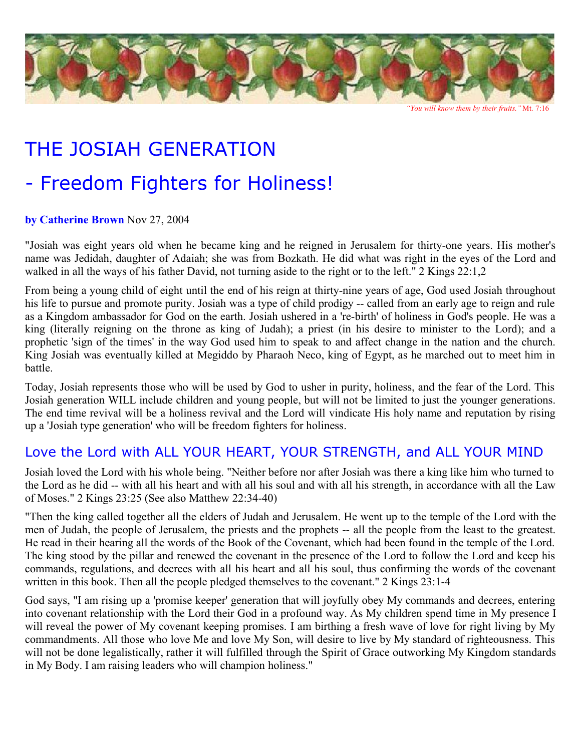

 *"You will know them by their fruits."* Mt. 7:16

# THE JOSIAH GENERATION

## - Freedom Fighters for Holiness!

#### **by Catherine Brown** Nov 27, 2004

"Josiah was eight years old when he became king and he reigned in Jerusalem for thirty-one years. His mother's name was Jedidah, daughter of Adaiah; she was from Bozkath. He did what was right in the eyes of the Lord and walked in all the ways of his father David, not turning aside to the right or to the left." 2 Kings 22:1,2

From being a young child of eight until the end of his reign at thirty-nine years of age, God used Josiah throughout his life to pursue and promote purity. Josiah was a type of child prodigy -- called from an early age to reign and rule as a Kingdom ambassador for God on the earth. Josiah ushered in a 're-birth' of holiness in God's people. He was a king (literally reigning on the throne as king of Judah); a priest (in his desire to minister to the Lord); and a prophetic 'sign of the times' in the way God used him to speak to and affect change in the nation and the church. King Josiah was eventually killed at Megiddo by Pharaoh Neco, king of Egypt, as he marched out to meet him in battle.

Today, Josiah represents those who will be used by God to usher in purity, holiness, and the fear of the Lord. This Josiah generation WILL include children and young people, but will not be limited to just the younger generations. The end time revival will be a holiness revival and the Lord will vindicate His holy name and reputation by rising up a 'Josiah type generation' who will be freedom fighters for holiness.

#### Love the Lord with ALL YOUR HEART, YOUR STRENGTH, and ALL YOUR MIND

Josiah loved the Lord with his whole being. "Neither before nor after Josiah was there a king like him who turned to the Lord as he did -- with all his heart and with all his soul and with all his strength, in accordance with all the Law of Moses." 2 Kings 23:25 (See also Matthew 22:34-40)

"Then the king called together all the elders of Judah and Jerusalem. He went up to the temple of the Lord with the men of Judah, the people of Jerusalem, the priests and the prophets -- all the people from the least to the greatest. He read in their hearing all the words of the Book of the Covenant, which had been found in the temple of the Lord. The king stood by the pillar and renewed the covenant in the presence of the Lord to follow the Lord and keep his commands, regulations, and decrees with all his heart and all his soul, thus confirming the words of the covenant written in this book. Then all the people pledged themselves to the covenant." 2 Kings 23:1-4

God says, "I am rising up a 'promise keeper' generation that will joyfully obey My commands and decrees, entering into covenant relationship with the Lord their God in a profound way. As My children spend time in My presence I will reveal the power of My covenant keeping promises. I am birthing a fresh wave of love for right living by My commandments. All those who love Me and love My Son, will desire to live by My standard of righteousness. This will not be done legalistically, rather it will fulfilled through the Spirit of Grace outworking My Kingdom standards in My Body. I am raising leaders who will champion holiness."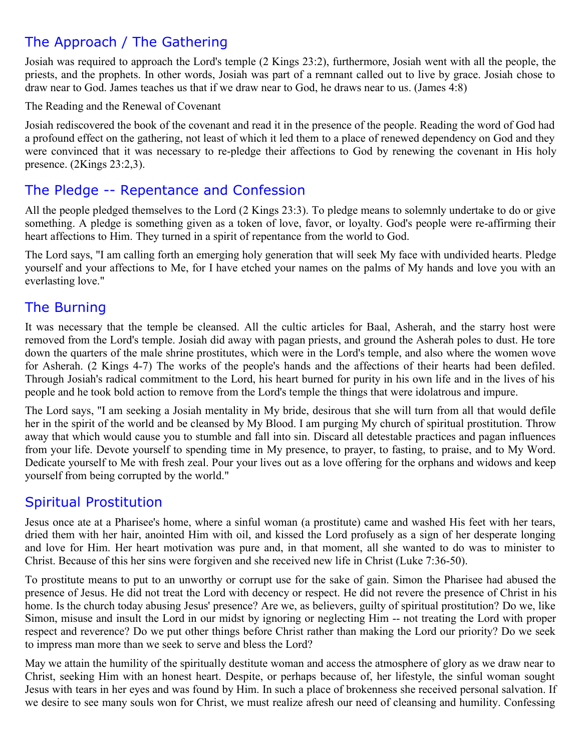### The Approach / The Gathering

Josiah was required to approach the Lord's temple (2 Kings 23:2), furthermore, Josiah went with all the people, the priests, and the prophets. In other words, Josiah was part of a remnant called out to live by grace. Josiah chose to draw near to God. James teaches us that if we draw near to God, he draws near to us. (James 4:8)

The Reading and the Renewal of Covenant

Josiah rediscovered the book of the covenant and read it in the presence of the people. Reading the word of God had a profound effect on the gathering, not least of which it led them to a place of renewed dependency on God and they were convinced that it was necessary to re-pledge their affections to God by renewing the covenant in His holy presence. (2Kings 23:2,3).

#### The Pledge -- Repentance and Confession

All the people pledged themselves to the Lord (2 Kings 23:3). To pledge means to solemnly undertake to do or give something. A pledge is something given as a token of love, favor, or loyalty. God's people were re-affirming their heart affections to Him. They turned in a spirit of repentance from the world to God.

The Lord says, "I am calling forth an emerging holy generation that will seek My face with undivided hearts. Pledge yourself and your affections to Me, for I have etched your names on the palms of My hands and love you with an everlasting love."

#### The Burning

It was necessary that the temple be cleansed. All the cultic articles for Baal, Asherah, and the starry host were removed from the Lord's temple. Josiah did away with pagan priests, and ground the Asherah poles to dust. He tore down the quarters of the male shrine prostitutes, which were in the Lord's temple, and also where the women wove for Asherah. (2 Kings 4-7) The works of the people's hands and the affections of their hearts had been defiled. Through Josiah's radical commitment to the Lord, his heart burned for purity in his own life and in the lives of his people and he took bold action to remove from the Lord's temple the things that were idolatrous and impure.

The Lord says, "I am seeking a Josiah mentality in My bride, desirous that she will turn from all that would defile her in the spirit of the world and be cleansed by My Blood. I am purging My church of spiritual prostitution. Throw away that which would cause you to stumble and fall into sin. Discard all detestable practices and pagan influences from your life. Devote yourself to spending time in My presence, to prayer, to fasting, to praise, and to My Word. Dedicate yourself to Me with fresh zeal. Pour your lives out as a love offering for the orphans and widows and keep yourself from being corrupted by the world."

#### Spiritual Prostitution

Jesus once ate at a Pharisee's home, where a sinful woman (a prostitute) came and washed His feet with her tears, dried them with her hair, anointed Him with oil, and kissed the Lord profusely as a sign of her desperate longing and love for Him. Her heart motivation was pure and, in that moment, all she wanted to do was to minister to Christ. Because of this her sins were forgiven and she received new life in Christ (Luke 7:36-50).

To prostitute means to put to an unworthy or corrupt use for the sake of gain. Simon the Pharisee had abused the presence of Jesus. He did not treat the Lord with decency or respect. He did not revere the presence of Christ in his home. Is the church today abusing Jesus' presence? Are we, as believers, guilty of spiritual prostitution? Do we, like Simon, misuse and insult the Lord in our midst by ignoring or neglecting Him -- not treating the Lord with proper respect and reverence? Do we put other things before Christ rather than making the Lord our priority? Do we seek to impress man more than we seek to serve and bless the Lord?

May we attain the humility of the spiritually destitute woman and access the atmosphere of glory as we draw near to Christ, seeking Him with an honest heart. Despite, or perhaps because of, her lifestyle, the sinful woman sought Jesus with tears in her eyes and was found by Him. In such a place of brokenness she received personal salvation. If we desire to see many souls won for Christ, we must realize afresh our need of cleansing and humility. Confessing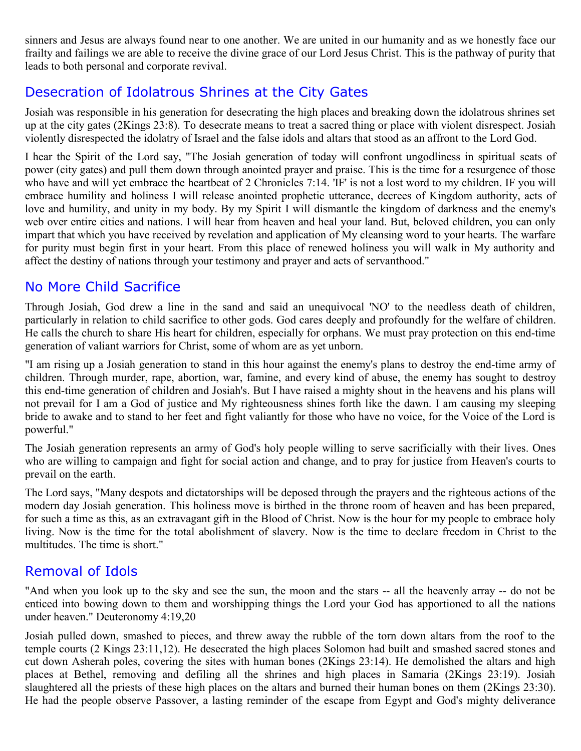sinners and Jesus are always found near to one another. We are united in our humanity and as we honestly face our frailty and failings we are able to receive the divine grace of our Lord Jesus Christ. This is the pathway of purity that leads to both personal and corporate revival.

#### Desecration of Idolatrous Shrines at the City Gates

Josiah was responsible in his generation for desecrating the high places and breaking down the idolatrous shrines set up at the city gates (2Kings 23:8). To desecrate means to treat a sacred thing or place with violent disrespect. Josiah violently disrespected the idolatry of Israel and the false idols and altars that stood as an affront to the Lord God.

I hear the Spirit of the Lord say, "The Josiah generation of today will confront ungodliness in spiritual seats of power (city gates) and pull them down through anointed prayer and praise. This is the time for a resurgence of those who have and will yet embrace the heartbeat of 2 Chronicles 7:14. 'IF' is not a lost word to my children. IF you will embrace humility and holiness I will release anointed prophetic utterance, decrees of Kingdom authority, acts of love and humility, and unity in my body. By my Spirit I will dismantle the kingdom of darkness and the enemy's web over entire cities and nations. I will hear from heaven and heal your land. But, beloved children, you can only impart that which you have received by revelation and application of My cleansing word to your hearts. The warfare for purity must begin first in your heart. From this place of renewed holiness you will walk in My authority and affect the destiny of nations through your testimony and prayer and acts of servanthood."

#### No More Child Sacrifice

Through Josiah, God drew a line in the sand and said an unequivocal 'NO' to the needless death of children, particularly in relation to child sacrifice to other gods. God cares deeply and profoundly for the welfare of children. He calls the church to share His heart for children, especially for orphans. We must pray protection on this end-time generation of valiant warriors for Christ, some of whom are as yet unborn.

"I am rising up a Josiah generation to stand in this hour against the enemy's plans to destroy the end-time army of children. Through murder, rape, abortion, war, famine, and every kind of abuse, the enemy has sought to destroy this end-time generation of children and Josiah's. But I have raised a mighty shout in the heavens and his plans will not prevail for I am a God of justice and My righteousness shines forth like the dawn. I am causing my sleeping bride to awake and to stand to her feet and fight valiantly for those who have no voice, for the Voice of the Lord is powerful."

The Josiah generation represents an army of God's holy people willing to serve sacrificially with their lives. Ones who are willing to campaign and fight for social action and change, and to pray for justice from Heaven's courts to prevail on the earth.

The Lord says, "Many despots and dictatorships will be deposed through the prayers and the righteous actions of the modern day Josiah generation. This holiness move is birthed in the throne room of heaven and has been prepared, for such a time as this, as an extravagant gift in the Blood of Christ. Now is the hour for my people to embrace holy living. Now is the time for the total abolishment of slavery. Now is the time to declare freedom in Christ to the multitudes. The time is short."

#### Removal of Idols

"And when you look up to the sky and see the sun, the moon and the stars -- all the heavenly array -- do not be enticed into bowing down to them and worshipping things the Lord your God has apportioned to all the nations under heaven." Deuteronomy 4:19,20

Josiah pulled down, smashed to pieces, and threw away the rubble of the torn down altars from the roof to the temple courts (2 Kings 23:11,12). He desecrated the high places Solomon had built and smashed sacred stones and cut down Asherah poles, covering the sites with human bones (2Kings 23:14). He demolished the altars and high places at Bethel, removing and defiling all the shrines and high places in Samaria (2Kings 23:19). Josiah slaughtered all the priests of these high places on the altars and burned their human bones on them (2Kings 23:30). He had the people observe Passover, a lasting reminder of the escape from Egypt and God's mighty deliverance